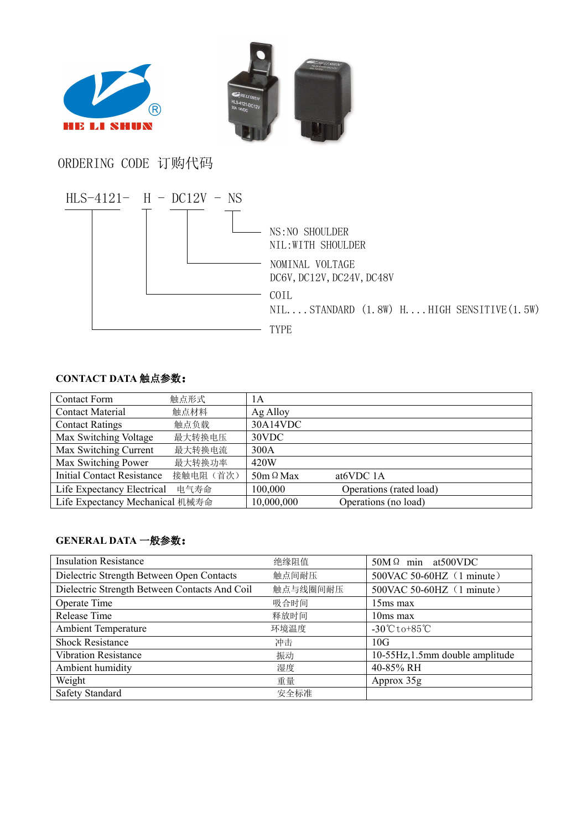



ORDERING CODE 订购代码



## **CONTACT DATA** 触点参数:

| <b>Contact Form</b>               | 触点形式      | 1A               |                         |
|-----------------------------------|-----------|------------------|-------------------------|
| <b>Contact Material</b>           | 触点材料      | Ag Alloy         |                         |
| <b>Contact Ratings</b>            | 触点负载      | 30A14VDC         |                         |
| Max Switching Voltage             | 最大转换电压    | 30VDC            |                         |
| Max Switching Current             | 最大转换电流    | 300A             |                         |
| Max Switching Power               | 最大转换功率    | 420W             |                         |
| <b>Initial Contact Resistance</b> | 接触电阻 (首次) | $50m \Omega$ Max | at <sub>6</sub> VDC 1A  |
| Life Expectancy Electrical        | 电气寿命      | 100,000          | Operations (rated load) |
| Life Expectancy Mechanical 机械寿命   |           | 10,000,000       | Operations (no load)    |

## **GENERAL DATA** 一般参数:

| <b>Insulation Resistance</b>                  | 绝缘阻值                               | $50M \Omega$ min at $500VDC$                   |
|-----------------------------------------------|------------------------------------|------------------------------------------------|
| Dielectric Strength Between Open Contacts     | 触点间耐压<br>500VAC 50-60HZ (1 minute) |                                                |
| Dielectric Strength Between Contacts And Coil | 触点与线圈间耐压                           | 500VAC 50-60HZ (1 minute)                      |
| Operate Time                                  | 吸合时间                               | $15ms$ max                                     |
| Release Time                                  | 释放时间                               | $10ms$ max                                     |
| <b>Ambient Temperature</b>                    | 环境温度                               | $-30^{\circ}\text{C}$ to $+85^{\circ}\text{C}$ |
| <b>Shock Resistance</b>                       | 冲击                                 | 10G                                            |
| <b>Vibration Resistance</b>                   | 振动                                 | 10-55Hz, 1.5mm double amplitude                |
| Ambient humidity                              | 湿度                                 | 40-85% RH                                      |
| Weight                                        | 重量                                 | Approx 35g                                     |
| <b>Safety Standard</b>                        | 安全标准                               |                                                |